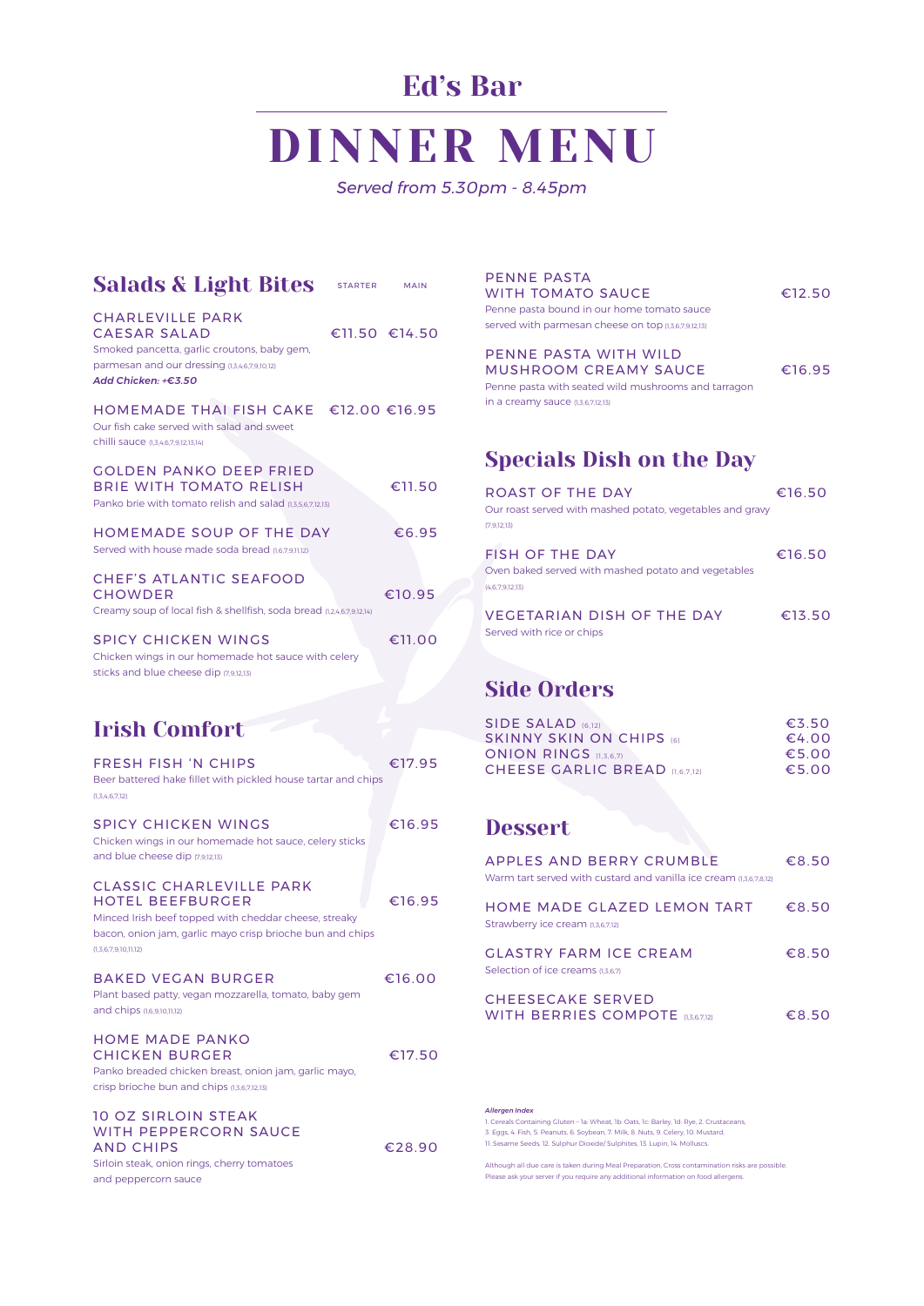#### HOME MADE PANKO CHICKEN BURGER €17.50

 $£16.00$ 

#### 10 OZ SIRLOIN STEAK WITH PEPPERCORN SAUCE AND CHIPS €28.90

| <b>Salads &amp; Light Bites</b>                                                                                                                                                                          | <b>STARTER</b> | <b>MAIN</b>   |
|----------------------------------------------------------------------------------------------------------------------------------------------------------------------------------------------------------|----------------|---------------|
| <b>CHARLEVILLE PARK</b><br><b>CAESAR SALAD</b><br>Smoked pancetta, garlic croutons, baby gem,<br>parmesan and our dressing (1,3,4,6,7,9,10,12)<br>Add Chicken: +€3.50                                    |                | €11.50 €14.50 |
| HOMEMADE THAI FISH CAKE €12.00 €16.95<br>Our fish cake served with salad and sweet<br>chilli sauce (1,3,4,6,7,9,12,13,14)                                                                                |                |               |
| <b>GOLDEN PANKO DEEP FRIED</b><br><b>BRIE WITH TOMATO RELISH</b><br>Panko brie with tomato relish and salad (1,3,5,6,7,12,13)                                                                            |                | €11.50        |
| <b>HOMEMADE SOUP OF THE DAY</b><br>Served with house made soda bread (1,6,7,9,11,12)                                                                                                                     |                | €6.95         |
| <b>CHEF'S ATLANTIC SEAFOOD</b><br><b>CHOWDER</b><br>Creamy soup of local fish & shellfish, soda bread (1,2,4,6,7,9,12,14)                                                                                |                | €10.95        |
| <b>SPICY CHICKEN WINGS</b><br>Chicken wings in our homemade hot sauce with celery<br>sticks and blue cheese dip (7,9,12,13)                                                                              |                | €11.00        |
| <b>Irish Comfort</b>                                                                                                                                                                                     |                |               |
| <b>FRESH FISH 'N CHIPS</b><br>Beer battered hake fillet with pickled house tartar and chips<br>(1,3,4,6,7,12)                                                                                            |                | €17.95        |
| <b>SPICY CHICKEN WINGS</b><br>Chicken wings in our homemade hot sauce, celery sticks<br>and blue cheese dip (7,9,12,13)                                                                                  |                | €16.95        |
| <b>CLASSIC CHARLEVILLE PARK</b><br><b>HOTEL BEEFBURGER</b><br>Minced Irish beef topped with cheddar cheese, streaky<br>bacon, onion jam, garlic mayo crisp brioche bun and chips<br>(1,3,6,7,9,10,11,12) |                | €16.95        |

|  | <b>BAKED VEGAN BURGER</b> |
|--|---------------------------|

Plant based patty, vegan mozzarella, tomato, baby gem and chips (1,6,9,10,11,12)

Panko breaded chicken breast, onion jam, garlic mayo, crisp brioche bun and chips (1,3,6,7,12,13)

Sirloin steak, onion rings, cherry tomatoes

#### CHEESECAKE SERVED WITH BERRIES COMPOTE  $(1,3,6,7,12)$   $\qquad \qquad \in 8.50$

and peppercorn sauce

#### *Allergen Index*

1. Cereals Containing Gluten – 1a: Wheat, 1b: Oats, 1c: Barley, 1d: Rye, 2. Crustaceans, 3. Eggs, 4. Fish, 5. Peanuts, 6. Soybean, 7. Milk, 8. Nuts, 9. Celery, 10. Mustard, 11. Sesame Seeds, 12. Sulphur Dioxide/ Sulphites, 13. Lupin, 14. Molluscs.

Although all due care is taken during Meal Preparation, Cross contamination risks are possible. Please ask your server if you require any additional information on food allergens.

# DINNER MENU

*Served from 5.30pm - 8.45pm*

## Ed's Bar

PENNE PASTA

| Penne pasta bound in our home tomato sauce<br>served with parmesan cheese on top (1,3,6,7,9,12,13)                                                  |        |
|-----------------------------------------------------------------------------------------------------------------------------------------------------|--------|
| PENNE PASTA WITH WILD<br><b>MUSHROOM CREAMY SAUCE</b><br>Penne pasta with seated wild mushrooms and tarragon<br>in a creamy sauce $(1,3,6,7,12,13)$ | €16.95 |
| <b>Specials Dish on the Day</b>                                                                                                                     |        |
| ROAST OF THE DAY<br>Our roast served with mashed potato, vegetables and gravy<br>(7.9.12.13)                                                        | €16.50 |
| <b>FISH OF THE DAY</b><br>Oven baked served with mashed potato and vegetables<br>(4.6.7.9.12.13)                                                    | €16.50 |
| <b>VEGETARIAN DISH OF THE DAY</b><br>Served with rice or chips                                                                                      | €13.50 |

WITH TOMATO SAUCE <del>€12.50</del>

## Side Orders

| <b>SIDE SALAD (6,12)</b>        | £3.50 |
|---------------------------------|-------|
| <b>SKINNY SKIN ON CHIPS (6)</b> | €4.00 |
| <b>ONION RINGS (1,3,6,7)</b>    | €5.00 |
| CHEESE GARLIC BREAD (1,6,7,12)  | €5.00 |
|                                 |       |
| <b>Dessert</b>                  |       |

### Dessert

| APPLES AND BERRY CRUMBLE<br>Warm tart served with custard and vanilla ice cream (1,3,6,7,8,12) | €8.50 |
|------------------------------------------------------------------------------------------------|-------|
| HOME MADE GLAZED LEMON TART<br>Strawberry ice cream (1,3,6,7,12)                               | €8.50 |
| <b>GLASTRY FARM ICE CREAM</b><br>Selection of ice creams (1,3,6,7)                             | €8.50 |